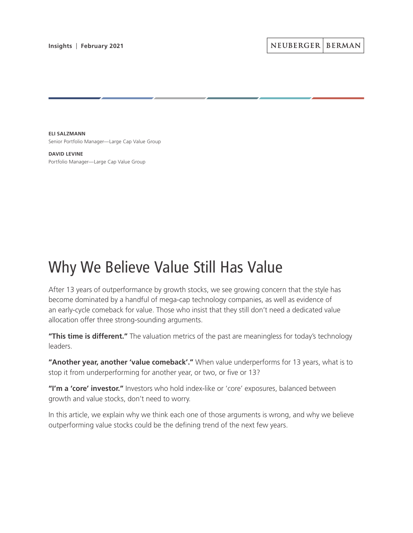**ELI SALZMANN** Senior Portfolio Manager—Large Cap Value Group

**DAVID LEVINE** Portfolio Manager—Large Cap Value Group

# Why We Believe Value Still Has Value

After 13 years of outperformance by growth stocks, we see growing concern that the style has become dominated by a handful of mega-cap technology companies, as well as evidence of an early-cycle comeback for value. Those who insist that they still don't need a dedicated value allocation offer three strong-sounding arguments.

**"This time is different."** The valuation metrics of the past are meaningless for today's technology leaders.

**"Another year, another 'value comeback'."** When value underperforms for 13 years, what is to stop it from underperforming for another year, or two, or five or 13?

"I'm a 'core' investor." Investors who hold index-like or 'core' exposures, balanced between growth and value stocks, don't need to worry.

In this article, we explain why we think each one of those arguments is wrong, and why we believe outperforming value stocks could be the defining trend of the next few years.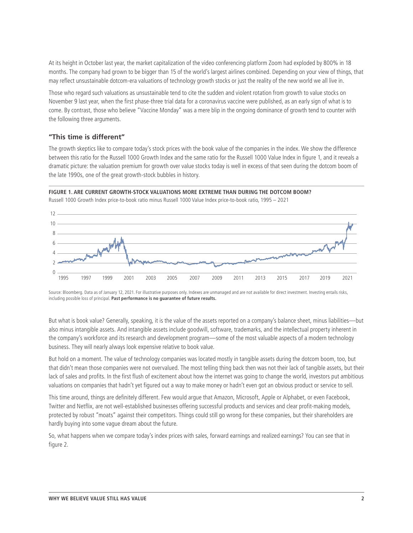At its height in October last year, the market capitalization of the video conferencing platform Zoom had exploded by 800% in 18 months. The company had grown to be bigger than 15 of the world's largest airlines combined. Depending on your view of things, that may reflect unsustainable dotcom-era valuations of technology growth stocks or just the reality of the new world we all live in.

Those who regard such valuations as unsustainable tend to cite the sudden and violent rotation from growth to value stocks on November 9 last year, when the first phase-three trial data for a coronavirus vaccine were published, as an early sign of what is to come. By contrast, those who believe "Vaccine Monday" was a mere blip in the ongoing dominance of growth tend to counter with the following three arguments.

# **"This time is different"**

The growth skeptics like to compare today's stock prices with the book value of the companies in the index. We show the difference between this ratio for the Russell 1000 Growth Index and the same ratio for the Russell 1000 Value Index in figure 1, and it reveals a dramatic picture: the valuation premium for growth over value stocks today is well in excess of that seen during the dotcom boom of the late 1990s, one of the great growth-stock bubbles in history.

## **FIGURE 1. ARE CURRENT GROWTH-STOCK VALUATIONS MORE EXTREME THAN DURING THE DOTCOM BOOM?**



Russell 1000 Growth Index price-to-book ratio minus Russell 1000 Value Index price-to-book ratio, 1995 – 2021

Source: Bloomberg. Data as of January 12, 2021. For illustrative purposes only. Indexes are unmanaged and are not available for direct investment. Investing entails risks, including possible loss of principal. **Past performance is no guarantee of future results.**

But what is book value? Generally, speaking, it is the value of the assets reported on a company's balance sheet, minus liabilities—but also minus intangible assets. And intangible assets include goodwill, software, trademarks, and the intellectual property inherent in the company's workforce and its research and development program—some of the most valuable aspects of a modern technology business. They will nearly always look expensive relative to book value.

But hold on a moment. The value of technology companies was located mostly in tangible assets during the dotcom boom, too, but that didn't mean those companies were not overvalued. The most telling thing back then was not their lack of tangible assets, but their lack of sales and profits. In the first flush of excitement about how the internet was going to change the world, investors put ambitious valuations on companies that hadn't yet figured out a way to make money or hadn't even got an obvious product or service to sell.

This time around, things are definitely different. Few would argue that Amazon, Microsoft, Apple or Alphabet, or even Facebook, Twitter and Netflix, are not well-established businesses offering successful products and services and clear profit-making models, protected by robust "moats" against their competitors. Things could still go wrong for these companies, but their shareholders are hardly buying into some vague dream about the future.

So, what happens when we compare today's index prices with sales, forward earnings and realized earnings? You can see that in figure 2.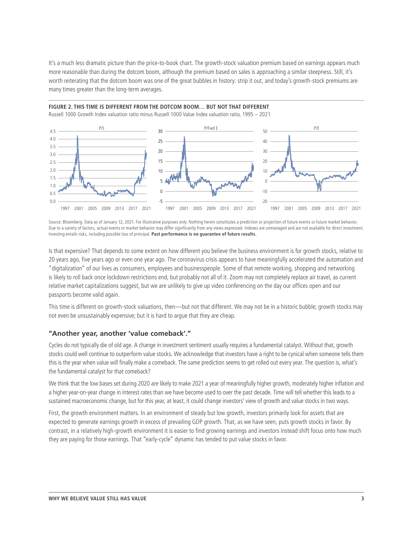It's a much less dramatic picture than the price-to-book chart. The growth-stock valuation premium based on earnings appears much more reasonable than during the dotcom boom, although the premium based on sales is approaching a similar steepness. Still, it's worth reiterating that the dotcom boom was one of the great bubbles in history: strip it out, and today's growth-stock premiums are many times greater than the long-term averages.

**FIGURE 2. THIS TIME IS DIFFERENT FROM THE DOTCOM BOOM… BUT NOT THAT DIFFERENT** 

Investing entails risks, including possible loss of principal. **Past performance is no guarantee of future results.**

#### Russell 1000 Growth Index valuation ratio minus Russell 1000 Value Index valuation ratio, 1995 – 2021 -20  $-10$  $\Omega$ 10 20 30 40 <sup>50</sup> P/S P/Fwd E P/E -5  $\Omega$ 5 10 15  $20$ 25 30 0.0 0.5 1.0 1.5 2.0 2.5 3.0 3.5 4.0 4.5 1997 2001 2005 2009 2013 2017 2021 1997 2001 2005 2009 2013 2017 2021 1997 2001 2005 2009 2013 2017 2021

Source: Bloomberg. Data as of January 12, 2021. For illustrative purposes only. Nothing herein constitutes a prediction or projection of future events or future market behavior. Due to a variety of factors, actual events or market behavior may differ significantly from any views expressed. Indexes are unmanaged and are not available for direct investment.

Is that expensive? That depends to some extent on how different you believe the business environment is for growth stocks, relative to 20 years ago, five years ago or even one year ago. The coronavirus crisis appears to have meaningfully accelerated the automation and "digitalization" of our lives as consumers, employees and businesspeople. Some of that remote working, shopping and networking is likely to roll back once lockdown restrictions end, but probably not all of it. Zoom may not completely replace air travel, as current relative market capitalizations suggest, but we are unlikely to give up video conferencing on the day our offices open and our passports become valid again.

This time is different on growth-stock valuations, then—but not that different. We may not be in a historic bubble; growth stocks may not even be unsustainably expensive; but it is hard to argue that they are cheap.

# **"Another year, another 'value comeback'."**

Cycles do not typically die of old age. A change in investment sentiment usually requires a fundamental catalyst. Without that, growth stocks could well continue to outperform value stocks. We acknowledge that investors have a right to be cynical when someone tells them this is the year when value will finally make a comeback. The same prediction seems to get rolled out every year. The question is, what's the fundamental catalyst for that comeback?

We think that the low bases set during 2020 are likely to make 2021 a year of meaningfully higher growth, moderately higher inflation and a higher year-on-year change in interest rates than we have become used to over the past decade. Time will tell whether this leads to a sustained macroeconomic change, but for this year, at least, it could change investors' view of growth and value stocks in two ways.

First, the growth environment matters. In an environment of steady but low growth, investors primarily look for assets that are expected to generate earnings growth in excess of prevailing GDP growth. That, as we have seen, puts growth stocks in favor. By contrast, in a relatively high-growth environment it is easier to find growing earnings and investors instead shift focus onto how much they are paying for those earnings. That "early-cycle" dynamic has tended to put value stocks in favor.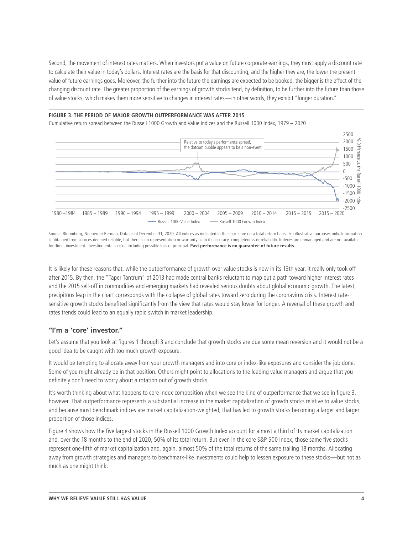Second, the movement of interest rates matters. When investors put a value on future corporate earnings, they must apply a discount rate to calculate their value in today's dollars. Interest rates are the basis for that discounting, and the higher they are, the lower the present value of future earnings goes. Moreover, the further into the future the earnings are expected to be booked, the bigger is the effect of the changing discount rate. The greater proportion of the earnings of growth stocks tend, by definition, to be further into the future than those of value stocks, which makes them more sensitive to changes in interest rates—in other words, they exhibit "longer duration."

### **FIGURE 3. THE PERIOD OF MAJOR GROWTH OUTPERFORMANCE WAS AFTER 2015**

Cumulative return spread between the Russell 1000 Growth and Value indices and the Russell 1000 Index, 1979 – 2020



Source: Bloomberg, Neuberger Berman. Data as of December 31, 2020. All indices as indicated in the charts are on a total return basis. For illustrative purposes only. Information is obtained from sources deemed reliable, but there is no representation or warranty as to its accuracy, completeness or reliability. Indexes are unmanaged and are not available for direct investment. Investing entails risks, including possible loss of principal. **Past performance is no guarantee of future results.**

It is likely for these reasons that, while the outperformance of growth over value stocks is now in its 13th year, it really only took off after 2015. By then, the "Taper Tantrum" of 2013 had made central banks reluctant to map out a path toward higher interest rates and the 2015 sell-off in commodities and emerging markets had revealed serious doubts about global economic growth. The latest, precipitous leap in the chart corresponds with the collapse of global rates toward zero during the coronavirus crisis. Interest ratesensitive growth stocks benefited significantly from the view that rates would stay lower for longer. A reversal of these growth and rates trends could lead to an equally rapid switch in market leadership.

# **"I'm a 'core' investor."**

Let's assume that you look at figures 1 through 3 and conclude that growth stocks are due some mean reversion and it would not be a good idea to be caught with too much growth exposure.

It would be tempting to allocate away from your growth managers and into core or index-like exposures and consider the job done. Some of you might already be in that position. Others might point to allocations to the leading value managers and argue that you definitely don't need to worry about a rotation out of growth stocks.

It's worth thinking about what happens to core index composition when we see the kind of outperformance that we see in figure 3, however. That outperformance represents a substantial increase in the market capitalization of growth stocks relative to value stocks, and because most benchmark indices are market capitalization-weighted, that has led to growth stocks becoming a larger and larger proportion of those indices.

Figure 4 shows how the five largest stocks in the Russell 1000 Growth Index account for almost a third of its market capitalization and, over the 18 months to the end of 2020, 50% of its total return. But even in the core S&P 500 Index, those same five stocks represent one-fifth of market capitalization and, again, almost 50% of the total returns of the same trailing 18 months. Allocating away from growth strategies and managers to benchmark-like investments could help to lessen exposure to these stocks—but not as much as one might think.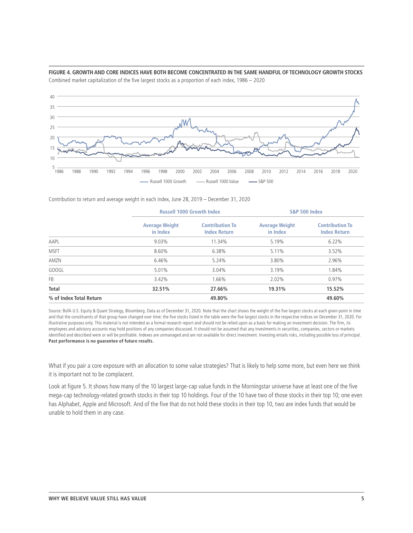

**FIGURE 4. GROWTH AND CORE INDICES HAVE BOTH BECOME CONCENTRATED IN THE SAME HANDFUL OF TECHNOLOGY GROWTH STOCKS** Combined market capitalization of the five largest stocks as a proportion of each index, 1986 – 2020

Contribution to return and average weight in each index, June 28, 2019 – December 31, 2020

|                         | <b>Russell 1000 Growth Index</b>  |                                               | <b>S&amp;P 500 Index</b>          |                                               |  |
|-------------------------|-----------------------------------|-----------------------------------------------|-----------------------------------|-----------------------------------------------|--|
|                         | <b>Average Weight</b><br>in Index | <b>Contribution To</b><br><b>Index Return</b> | <b>Average Weight</b><br>in Index | <b>Contribution To</b><br><b>Index Return</b> |  |
| AAPL                    | 9.03%                             | 11.34%                                        | 5.19%                             | 6.22%                                         |  |
| <b>MSFT</b>             | 8.60%                             | 6.38%                                         | 5.11%                             | 3.52%                                         |  |
| AMZN                    | 6.46%                             | 5.24%                                         | 3.80%                             | 2.96%                                         |  |
| <b>GOOGL</b>            | 5.01%                             | 3.04%                                         | 3.19%                             | 1.84%                                         |  |
| FB                      | 3.42%                             | 1.66%                                         | 2.02%                             | 0.97%                                         |  |
| <b>Total</b>            | 32.51%                            | 27.66%                                        | 19.31%                            | 15.52%                                        |  |
| % of Index Total Return |                                   | 49.80%                                        |                                   | 49.60%                                        |  |

Source: BofA U.S. Equity & Quant Strategy, Bloomberg. Data as of December 31, 2020. Note that the chart shows the weight of the five largest stocks at each given point in time and that the constituents of that group have changed over time: the five stocks listed in the table were the five largest stocks in the respective indices on December 31, 2020. For illustrative purposes only. This material is not intended as a formal research report and should not be relied upon as a basis for making an investment decision. The firm, its employees and advisory accounts may hold positions of any companies discussed. It should not be assumed that any investments in securities, companies, sectors or markets identified and described were or will be profitable. Indexes are unmanaged and are not available for direct investment. Investing entails risks, including possible loss of principal. **Past performance is no guarantee of future results.**

What if you pair a core exposure with an allocation to some value strategies? That is likely to help some more, but even here we think it is important not to be complacent.

Look at figure 5. It shows how many of the 10 largest large-cap value funds in the Morningstar universe have at least one of the five mega-cap technology-related growth stocks in their top 10 holdings. Four of the 10 have two of those stocks in their top 10; one even has Alphabet, Apple and Microsoft. And of the five that do not hold these stocks in their top 10, two are index funds that would be unable to hold them in any case.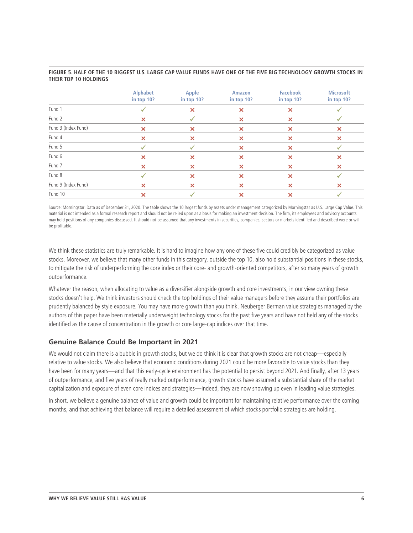|                     | <b>Alphabet</b><br>in top 10? | Apple<br>in top 10? | Amazon<br>in top 10?      | <b>Facebook</b><br>in top $10$ ? | <b>Microsoft</b><br>in top 10? |
|---------------------|-------------------------------|---------------------|---------------------------|----------------------------------|--------------------------------|
| Fund 1              |                               | ×                   | ×                         | ×                                |                                |
| Fund 2              | ×                             |                     | $\boldsymbol{\mathsf{x}}$ | ×                                |                                |
| Fund 3 (Index Fund) | ×                             | ×                   | ×                         | ×                                | ×                              |
| Fund 4              | ×                             | ×                   | ×                         | ×                                | ×                              |
| Fund 5              |                               |                     | ×                         | $\boldsymbol{\mathsf{x}}$        |                                |
| Fund 6              | ×                             | ×                   | ×                         | ×                                | ×                              |
| Fund 7              | ×                             | ×                   | ×                         | ×                                | ×                              |
| Fund 8              |                               | ×                   | ×                         | $\boldsymbol{\mathsf{x}}$        |                                |
| Fund 9 (Index Fund) | ×                             | ×                   | ×                         | ×                                | ×                              |
| Fund 10             | ×                             |                     | ×                         |                                  |                                |

### **FIGURE 5. HALF OF THE 10 BIGGEST U.S. LARGE CAP VALUE FUNDS HAVE ONE OF THE FIVE BIG TECHNOLOGY GROWTH STOCKS IN THEIR TOP 10 HOLDINGS**

Source: Morningstar. Data as of December 31, 2020. The table shows the 10 largest funds by assets under management categorized by Morningstar as U.S. Large Cap Value. This material is not intended as a formal research report and should not be relied upon as a basis for making an investment decision. The firm, its employees and advisory accounts may hold positions of any companies discussed. It should not be assumed that any investments in securities, companies, sectors or markets identified and described were or will be profitable.

We think these statistics are truly remarkable. It is hard to imagine how any one of these five could credibly be categorized as value stocks. Moreover, we believe that many other funds in this category, outside the top 10, also hold substantial positions in these stocks, to mitigate the risk of underperforming the core index or their core- and growth-oriented competitors, after so many years of growth outperformance.

Whatever the reason, when allocating to value as a diversifier alongside growth and core investments, in our view owning these stocks doesn't help. We think investors should check the top holdings of their value managers before they assume their portfolios are prudently balanced by style exposure. You may have more growth than you think. Neuberger Berman value strategies managed by the authors of this paper have been materially underweight technology stocks for the past five years and have not held any of the stocks identified as the cause of concentration in the growth or core large-cap indices over that time.

# **Genuine Balance Could Be Important in 2021**

We would not claim there is a bubble in growth stocks, but we do think it is clear that growth stocks are not cheap—especially relative to value stocks. We also believe that economic conditions during 2021 could be more favorable to value stocks than they have been for many years—and that this early-cycle environment has the potential to persist beyond 2021. And finally, after 13 years of outperformance, and five years of really marked outperformance, growth stocks have assumed a substantial share of the market capitalization and exposure of even core indices and strategies—indeed, they are now showing up even in leading value strategies.

In short, we believe a genuine balance of value and growth could be important for maintaining relative performance over the coming months, and that achieving that balance will require a detailed assessment of which stocks portfolio strategies are holding.